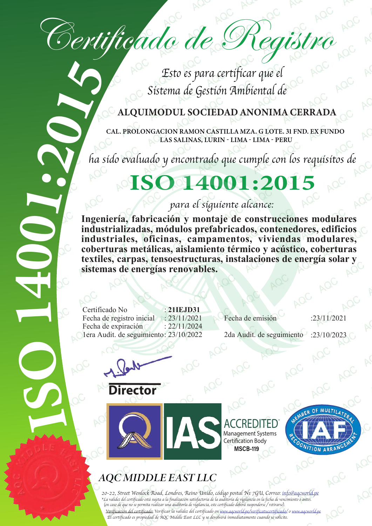# Certificado de Registro

Esto es para certificar que el Sistema de Gestión Ambiental de

#### **ALQUIMODUL SOCIEDAD ANONIMA CERRADA**

CAL. PROLONGACION RAMON CASTILLA MZA. G LOTE. 31 FND. EX FUNDO LAS SALINAS, LURIN - LIMA - LIMA - PERU

ha sido evaluado y encontrado que cumple con los requisitos de

## ISO 14001:2015

para el siguiente alcance:

**Contract Contract Contract Contract Contract Contract Contract Contract Contract Contract Contract Contract Contract Contract Contract Contract Contract Contract Contract Contract Contract Contract Contract Contract Contr Solution**<br> **Contract Contract Contract Contract Contract Contract Contract Contract Contract Contract Contract Contract Contract Contract Contract Contract Contract Contract Contract Contract Contract Contract Contract Co Ingeniería, fabricación y montaje de construcciones modulares industrializadas, módulos prefabricados, contenedores, edificios industriales, oficinas, campamentos, viviendas modulares, coberturas metálicas, aislamiento térmico y acústico, coberturas textiles, carpas, tensoestructuras, instalaciones de energía solar y sistemas de energías renovables.**

> Certificado No : **21IEJD31** Fecha de expiración : 22/11/2024 1era Audit. de seguimiento: 23/10/2022 2da Audit. de seguimiento : :23/10/2023

Fecha de registro inicial : 23/11/2021 Fecha de emisión :23/11/2021

n



 $\begin{array}{c} \bigcirc \\ \hline \end{array}$ 

 $\overline{\phantom{0}}$ 

A

 $\overline{\P}$ 





ACCREDITED Management Systems Certification Body **MSCB-119** 



#### 20-22, Street Wenlock Road, Londres, Reino Unido, código postal N1 7GU, Correo: info@aqcworld.pe \*La validez del certificado está sujeta a la finalización satisfactoria de la auditoría de vigilancia en la fecha de vencimiento o antes. (en caso de que no se permita realizar una auditoría de vigilancia, este certificado deberá suspenderse / retirarse). Verificación del certificado: Verificar la validez del certificado en www.aqcworld.pe/verificatucertificado/ o www.aqcworld.pe

El certificado es propiedad de AQC Middle East LLC y se devolverá inmediatamente cuando se solicite.